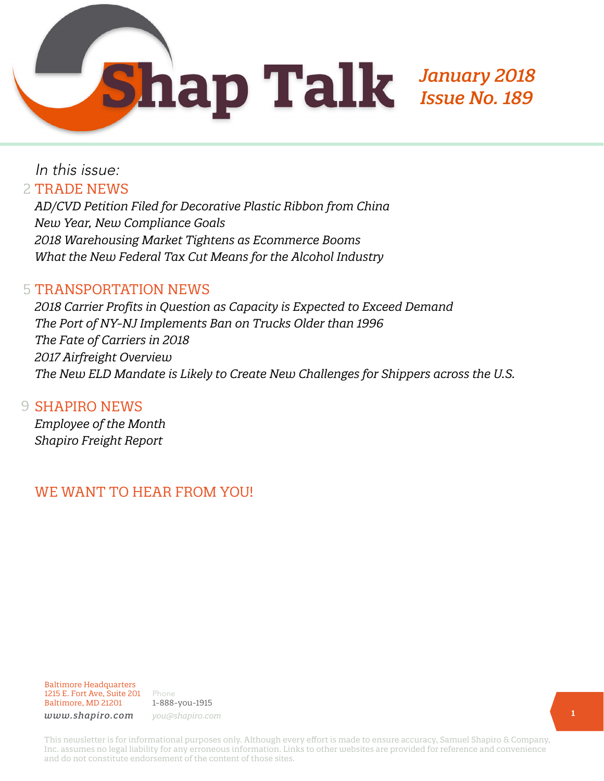

In this issue:

#### 2 TRADE NEWS

*AD/CVD Petition Filed for Decorative Plastic Ribbon from China New Year, New Compliance Goals 2018 Warehousing Market Tightens as Ecommerce Booms What the New Federal Tax Cut Means for the Alcohol Industry*

### 5 TRANSPORTATION NEWS

*2018 Carrier Profits in Question as Capacity is Expected to Exceed Demand The Port of NY-NJ Implements Ban on Trucks Older than 1996 The Fate of Carriers in 2018 2017 Airfreight Overview The New ELD Mandate is Likely to Create New Challenges for Shippers across the U.S.*

**9 SHAPIRO NEWS** *Employee of the Month Shapiro Freight Report*

### WE WANT TO HEAR FROM YOU!

Baltimore Headquarters 1215 E. Fort Ave, Suite 201 Baltimore, MD 21201

Phone 1-888-you-1915 *www.shapiro.com you@shapiro.com*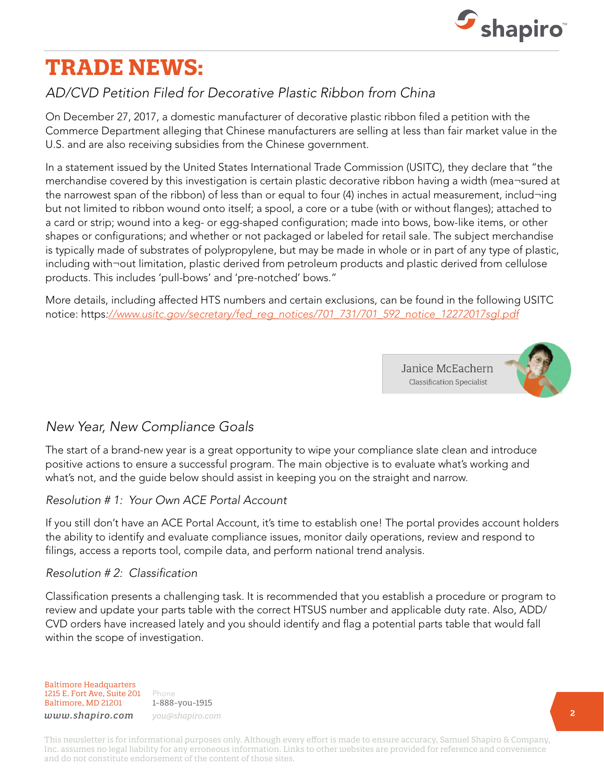

# **TRADE NEWS:**

# *AD/CVD Petition Filed for Decorative Plastic Ribbon from China*

On December 27, 2017, a domestic manufacturer of decorative plastic ribbon filed a petition with the Commerce Department alleging that Chinese manufacturers are selling at less than fair market value in the U.S. and are also receiving subsidies from the Chinese government.

In a statement issued by the United States International Trade Commission (USITC), they declare that "the merchandise covered by this investigation is certain plastic decorative ribbon having a width (mea¬sured at the narrowest span of the ribbon) of less than or equal to four (4) inches in actual measurement, includ¬ing but not limited to ribbon wound onto itself; a spool, a core or a tube (with or without flanges); attached to a card or strip; wound into a keg- or egg-shaped configuration; made into bows, bow-like items, or other shapes or configurations; and whether or not packaged or labeled for retail sale. The subject merchandise is typically made of substrates of polypropylene, but may be made in whole or in part of any type of plastic, including with¬out limitation, plastic derived from petroleum products and plastic derived from cellulose products. This includes 'pull-bows' and 'pre-notched' bows."

More details, including affected HTS numbers and certain exclusions, can be found in the following USITC notice: https*:[//www.usitc.gov/secretary/fed\\_reg\\_notices/701\\_731/701\\_592\\_notice\\_12272017sgl.pdf](https://www.usitc.gov/secretary/fed_reg_notices/701_731/701_592_notice_12272017sgl.pdf)*





## *New Year, New Compliance Goals*

The start of a brand-new year is a great opportunity to wipe your compliance slate clean and introduce positive actions to ensure a successful program. The main objective is to evaluate what's working and what's not, and the guide below should assist in keeping you on the straight and narrow.

#### *Resolution # 1: Your Own ACE Portal Account*

If you still don't have an ACE Portal Account, it's time to establish one! The portal provides account holders the ability to identify and evaluate compliance issues, monitor daily operations, review and respond to filings, access a reports tool, compile data, and perform national trend analysis.

#### *Resolution # 2: Classification*

Classification presents a challenging task. It is recommended that you establish a procedure or program to review and update your parts table with the correct HTSUS number and applicable duty rate. Also, ADD/ CVD orders have increased lately and you should identify and flag a potential parts table that would fall within the scope of investigation.

Baltimore Headquarters 1215 E. Fort Ave, Suite 201 Baltimore, MD 21201

Phone 1-888-you-1915 *www.shapiro.com you@shapiro.com*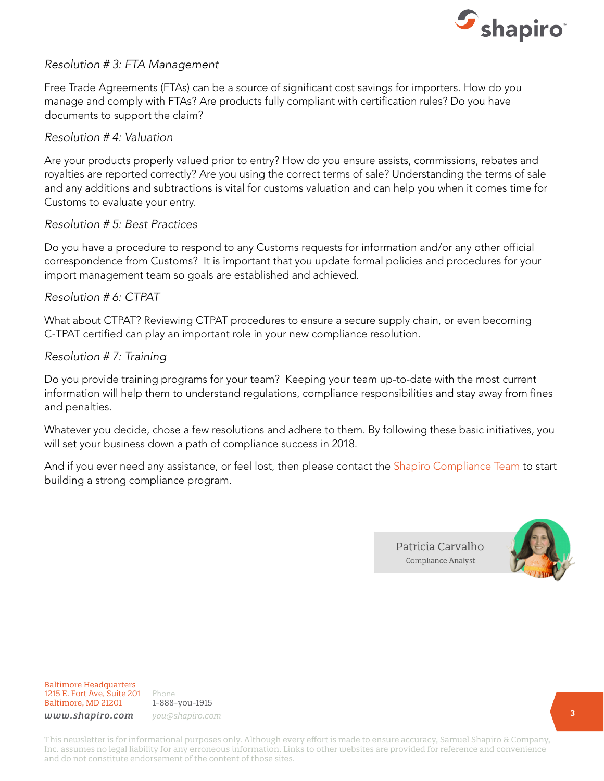

#### *Resolution # 3: FTA Management*

Free Trade Agreements (FTAs) can be a source of significant cost savings for importers. How do you manage and comply with FTAs? Are products fully compliant with certification rules? Do you have documents to support the claim?

#### *Resolution # 4: Valuation*

Are your products properly valued prior to entry? How do you ensure assists, commissions, rebates and royalties are reported correctly? Are you using the correct terms of sale? Understanding the terms of sale and any additions and subtractions is vital for customs valuation and can help you when it comes time for Customs to evaluate your entry.

#### *Resolution # 5: Best Practices*

Do you have a procedure to respond to any Customs requests for information and/or any other official correspondence from Customs? It is important that you update formal policies and procedures for your import management team so goals are established and achieved.

#### *Resolution # 6: CTPAT*

What about CTPAT? Reviewing CTPAT procedures to ensure a secure supply chain, or even becoming C-TPAT certified can play an important role in your new compliance resolution.

#### *Resolution # 7: Training*

Do you provide training programs for your team? Keeping your team up-to-date with the most current information will help them to understand regulations, compliance responsibilities and stay away from fines and penalties.

Whatever you decide, chose a few resolutions and adhere to them. By following these basic initiatives, you will set your business down a path of compliance success in 2018.

And if you ever need any assistance, or feel lost, then please contact the **Shapiro Compliance Team** to start building a strong compliance program.

> Patricia Carvalho Compliance Analyst



Baltimore Headquarters 1215 E. Fort Ave, Suite 201 Baltimore, MD 21201

Phone 1-888-you-1915 *www.shapiro.com you@shapiro.com*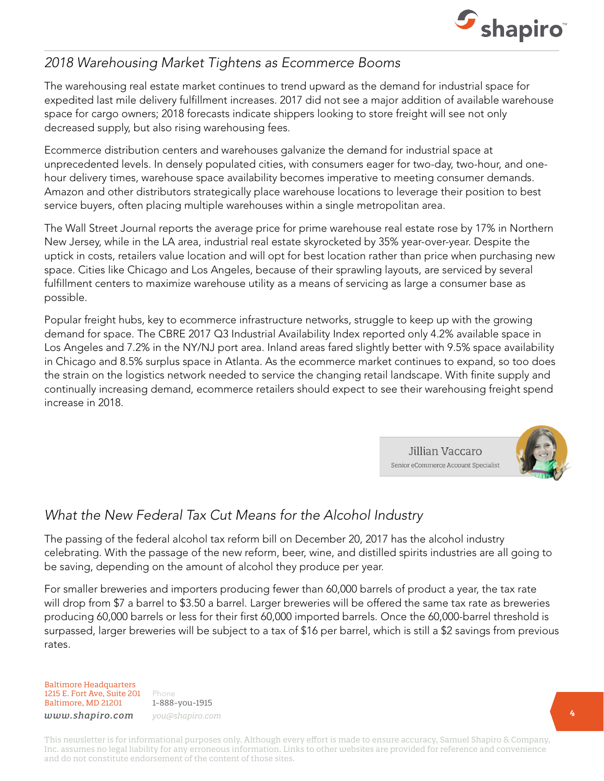

## *2018 Warehousing Market Tightens as Ecommerce Booms*

The warehousing real estate market continues to trend upward as the demand for industrial space for expedited last mile delivery fulfillment increases. 2017 did not see a major addition of available warehouse space for cargo owners; 2018 forecasts indicate shippers looking to store freight will see not only decreased supply, but also rising warehousing fees.

Ecommerce distribution centers and warehouses galvanize the demand for industrial space at unprecedented levels. In densely populated cities, with consumers eager for two-day, two-hour, and onehour delivery times, warehouse space availability becomes imperative to meeting consumer demands. Amazon and other distributors strategically place warehouse locations to leverage their position to best service buyers, often placing multiple warehouses within a single metropolitan area.

The Wall Street Journal reports the average price for prime warehouse real estate rose by 17% in Northern New Jersey, while in the LA area, industrial real estate skyrocketed by 35% year-over-year. Despite the uptick in costs, retailers value location and will opt for best location rather than price when purchasing new space. Cities like Chicago and Los Angeles, because of their sprawling layouts, are serviced by several fulfillment centers to maximize warehouse utility as a means of servicing as large a consumer base as possible.

Popular freight hubs, key to ecommerce infrastructure networks, struggle to keep up with the growing demand for space. The CBRE 2017 Q3 Industrial Availability Index reported only 4.2% available space in Los Angeles and 7.2% in the NY/NJ port area. Inland areas fared slightly better with 9.5% space availability in Chicago and 8.5% surplus space in Atlanta. As the ecommerce market continues to expand, so too does the strain on the logistics network needed to service the changing retail landscape. With finite supply and continually increasing demand, ecommerce retailers should expect to see their warehousing freight spend increase in 2018.

#### Jillian Vaccaro Senior eCommerce Account Specialist



## *What the New Federal Tax Cut Means for the Alcohol Industry*

The passing of the federal alcohol tax reform bill on December 20, 2017 has the alcohol industry celebrating. With the passage of the new reform, beer, wine, and distilled spirits industries are all going to be saving, depending on the amount of alcohol they produce per year.

For smaller breweries and importers producing fewer than 60,000 barrels of product a year, the tax rate will drop from \$7 a barrel to \$3.50 a barrel. Larger breweries will be offered the same tax rate as breweries producing 60,000 barrels or less for their first 60,000 imported barrels. Once the 60,000-barrel threshold is surpassed, larger breweries will be subject to a tax of \$16 per barrel, which is still a \$2 savings from previous rates.

Baltimore Headquarters 1215 E. Fort Ave, Suite 201 Baltimore, MD 21201

Phone 1-888-you-1915 *www.shapiro.com you@shapiro.com*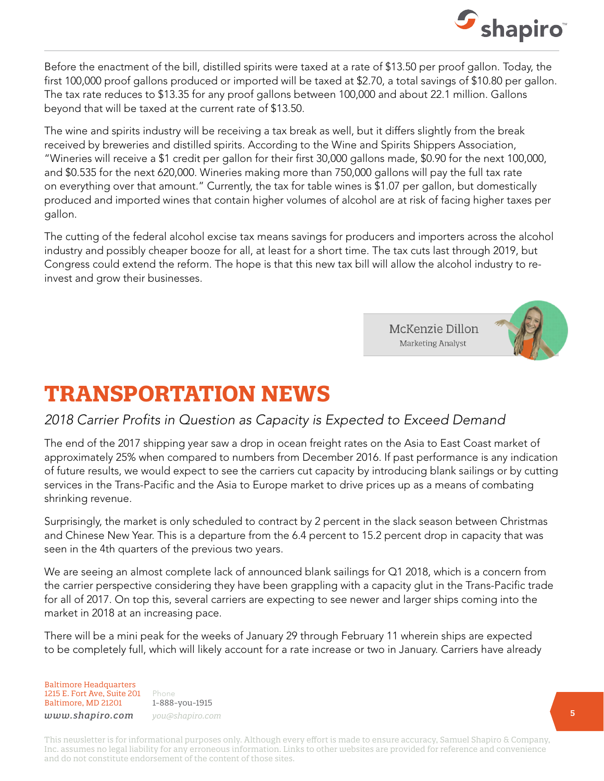

Before the enactment of the bill, distilled spirits were taxed at a rate of \$13.50 per proof gallon. Today, the first 100,000 proof gallons produced or imported will be taxed at \$2.70, a total savings of \$10.80 per gallon. The tax rate reduces to \$13.35 for any proof gallons between 100,000 and about 22.1 million. Gallons beyond that will be taxed at the current rate of \$13.50.

The wine and spirits industry will be receiving a tax break as well, but it differs slightly from the break received by breweries and distilled spirits. According to the Wine and Spirits Shippers Association, "Wineries will receive a \$1 credit per gallon for their first 30,000 gallons made, \$0.90 for the next 100,000, and \$0.535 for the next 620,000. Wineries making more than 750,000 gallons will pay the full tax rate on everything over that amount." Currently, the tax for table wines is \$1.07 per gallon, but domestically produced and imported wines that contain higher volumes of alcohol are at risk of facing higher taxes per gallon.

The cutting of the federal alcohol excise tax means savings for producers and importers across the alcohol industry and possibly cheaper booze for all, at least for a short time. The tax cuts last through 2019, but Congress could extend the reform. The hope is that this new tax bill will allow the alcohol industry to reinvest and grow their businesses.

> McKenzie Dillon **Marketing Analyst**



# **TRANSPORTATION NEWS**

*2018 Carrier Profits in Question as Capacity is Expected to Exceed Demand*

The end of the 2017 shipping year saw a drop in ocean freight rates on the Asia to East Coast market of approximately 25% when compared to numbers from December 2016. If past performance is any indication of future results, we would expect to see the carriers cut capacity by introducing blank sailings or by cutting services in the Trans-Pacific and the Asia to Europe market to drive prices up as a means of combating shrinking revenue.

Surprisingly, the market is only scheduled to contract by 2 percent in the slack season between Christmas and Chinese New Year. This is a departure from the 6.4 percent to 15.2 percent drop in capacity that was seen in the 4th quarters of the previous two years.

We are seeing an almost complete lack of announced blank sailings for Q1 2018, which is a concern from the carrier perspective considering they have been grappling with a capacity glut in the Trans-Pacific trade for all of 2017. On top this, several carriers are expecting to see newer and larger ships coming into the market in 2018 at an increasing pace.

There will be a mini peak for the weeks of January 29 through February 11 wherein ships are expected to be completely full, which will likely account for a rate increase or two in January. Carriers have already

Baltimore Headquarters 1215 E. Fort Ave, Suite 201 Baltimore, MD 21201

Phone 1-888-you-1915 *www.shapiro.com you@shapiro.com*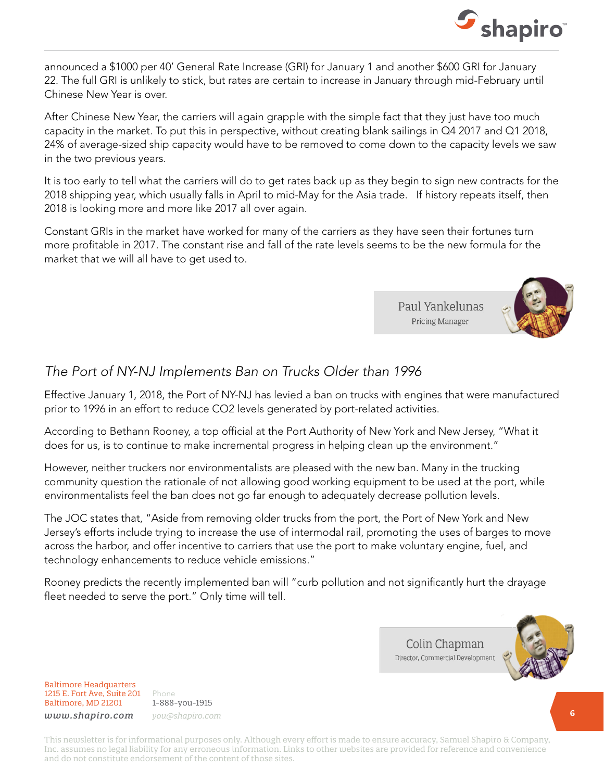

announced a \$1000 per 40' General Rate Increase (GRI) for January 1 and another \$600 GRI for January 22. The full GRI is unlikely to stick, but rates are certain to increase in January through mid-February until Chinese New Year is over.

After Chinese New Year, the carriers will again grapple with the simple fact that they just have too much capacity in the market. To put this in perspective, without creating blank sailings in Q4 2017 and Q1 2018, 24% of average-sized ship capacity would have to be removed to come down to the capacity levels we saw in the two previous years.

It is too early to tell what the carriers will do to get rates back up as they begin to sign new contracts for the 2018 shipping year, which usually falls in April to mid-May for the Asia trade. If history repeats itself, then 2018 is looking more and more like 2017 all over again.

Constant GRIs in the market have worked for many of the carriers as they have seen their fortunes turn more profitable in 2017. The constant rise and fall of the rate levels seems to be the new formula for the market that we will all have to get used to.



## *The Port of NY-NJ Implements Ban on Trucks Older than 1996*

Effective January 1, 2018, the Port of NY-NJ has levied a ban on trucks with engines that were manufactured prior to 1996 in an effort to reduce CO2 levels generated by port-related activities.

According to Bethann Rooney, a top official at the Port Authority of New York and New Jersey, "What it does for us, is to continue to make incremental progress in helping clean up the environment."

However, neither truckers nor environmentalists are pleased with the new ban. Many in the trucking community question the rationale of not allowing good working equipment to be used at the port, while environmentalists feel the ban does not go far enough to adequately decrease pollution levels.

The JOC states that, "Aside from removing older trucks from the port, the Port of New York and New Jersey's efforts include trying to increase the use of intermodal rail, promoting the uses of barges to move across the harbor, and offer incentive to carriers that use the port to make voluntary engine, fuel, and technology enhancements to reduce vehicle emissions."

Rooney predicts the recently implemented ban will "curb pollution and not significantly hurt the drayage fleet needed to serve the port." Only time will tell.



Baltimore Headquarters 1215 E. Fort Ave, Suite 201 Baltimore, MD 21201

Phone 1-888-you-1915 *www.shapiro.com you@shapiro.com*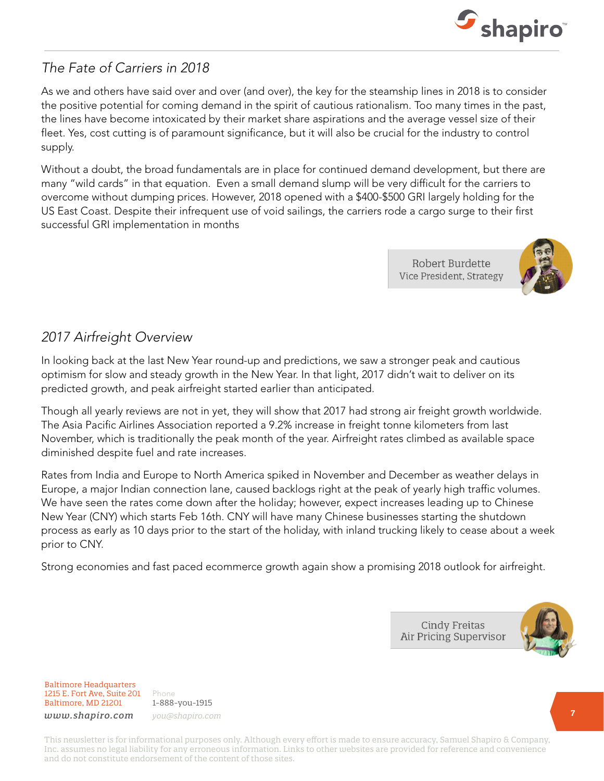# *The Fate of Carriers in 2018*

As we and others have said over and over (and over), the key for the steamship lines in 2018 is to consider the positive potential for coming demand in the spirit of cautious rationalism. Too many times in the past, the lines have become intoxicated by their market share aspirations and the average vessel size of their fleet. Yes, cost cutting is of paramount significance, but it will also be crucial for the industry to control supply.

Without a doubt, the broad fundamentals are in place for continued demand development, but there are many "wild cards" in that equation. Even a small demand slump will be very difficult for the carriers to overcome without dumping prices. However, 2018 opened with a \$400-\$500 GRI largely holding for the US East Coast. Despite their infrequent use of void sailings, the carriers rode a cargo surge to their first successful GRI implementation in months

Vice President, Strategy

Robert Burdette

**Cindy Freitas** 

## *2017 Airfreight Overview*

In looking back at the last New Year round-up and predictions, we saw a stronger peak and cautious optimism for slow and steady growth in the New Year. In that light, 2017 didn't wait to deliver on its predicted growth, and peak airfreight started earlier than anticipated.

Though all yearly reviews are not in yet, they will show that 2017 had strong air freight growth worldwide. The Asia Pacific Airlines Association reported a 9.2% increase in freight tonne kilometers from last November, which is traditionally the peak month of the year. Airfreight rates climbed as available space diminished despite fuel and rate increases.

Rates from India and Europe to North America spiked in November and December as weather delays in Europe, a major Indian connection lane, caused backlogs right at the peak of yearly high traffic volumes. We have seen the rates come down after the holiday; however, expect increases leading up to Chinese New Year (CNY) which starts Feb 16th. CNY will have many Chinese businesses starting the shutdown process as early as 10 days prior to the start of the holiday, with inland trucking likely to cease about a week prior to CNY.

Strong economies and fast paced ecommerce growth again show a promising 2018 outlook for airfreight.

Baltimore Headquarters 1215 E. Fort Ave, Suite 201 Baltimore, MD 21201 Phone

*www.shapiro.com you@shapiro.com*

1-888-you-1915



**7**



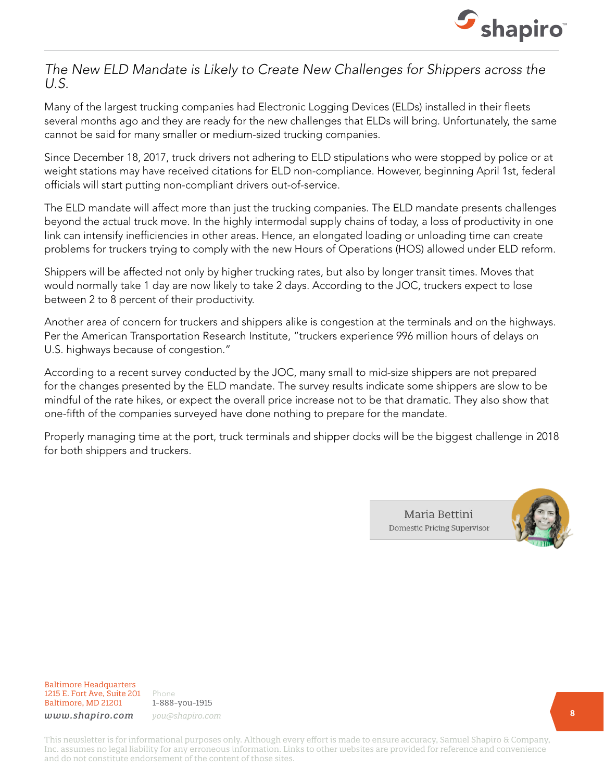

#### *The New ELD Mandate is Likely to Create New Challenges for Shippers across the U.S.*

Many of the largest trucking companies had Electronic Logging Devices (ELDs) installed in their fleets several months ago and they are ready for the new challenges that ELDs will bring. Unfortunately, the same cannot be said for many smaller or medium-sized trucking companies.

Since December 18, 2017, truck drivers not adhering to ELD stipulations who were stopped by police or at weight stations may have received citations for ELD non-compliance. However, beginning April 1st, federal officials will start putting non-compliant drivers out-of-service.

The ELD mandate will affect more than just the trucking companies. The ELD mandate presents challenges beyond the actual truck move. In the highly intermodal supply chains of today, a loss of productivity in one link can intensify inefficiencies in other areas. Hence, an elongated loading or unloading time can create problems for truckers trying to comply with the new Hours of Operations (HOS) allowed under ELD reform.

Shippers will be affected not only by higher trucking rates, but also by longer transit times. Moves that would normally take 1 day are now likely to take 2 days. According to the JOC, truckers expect to lose between 2 to 8 percent of their productivity.

Another area of concern for truckers and shippers alike is congestion at the terminals and on the highways. Per the American Transportation Research Institute, "truckers experience 996 million hours of delays on U.S. highways because of congestion."

According to a recent survey conducted by the JOC, many small to mid-size shippers are not prepared for the changes presented by the ELD mandate. The survey results indicate some shippers are slow to be mindful of the rate hikes, or expect the overall price increase not to be that dramatic. They also show that one-fifth of the companies surveyed have done nothing to prepare for the mandate.

Properly managing time at the port, truck terminals and shipper docks will be the biggest challenge in 2018 for both shippers and truckers.

> Maria Bettini Domestic Pricing Supervisor



Baltimore Headquarters 1215 E. Fort Ave, Suite 201 Baltimore, MD 21201

Phone 1-888-you-1915 *www.shapiro.com you@shapiro.com*